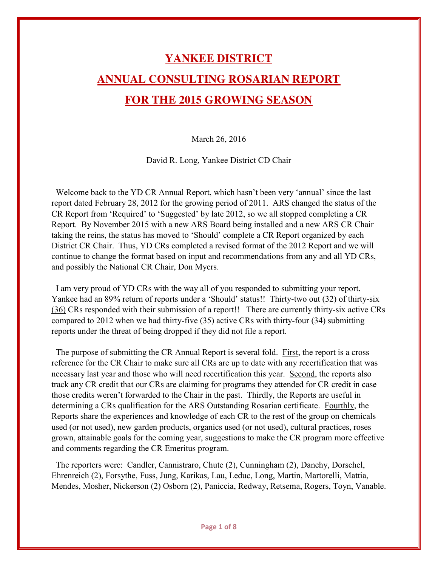## **YANKEE DISTRICT ANNUAL CONSULTING ROSARIAN REPORT FOR THE 2015 GROWING SEASON**

March 26, 2016

David R. Long, Yankee District CD Chair

 Welcome back to the YD CR Annual Report, which hasn't been very 'annual' since the last report dated February 28, 2012 for the growing period of 2011. ARS changed the status of the CR Report from 'Required' to 'Suggested' by late 2012, so we all stopped completing a CR Report. By November 2015 with a new ARS Board being installed and a new ARS CR Chair taking the reins, the status has moved to 'Should' complete a CR Report organized by each District CR Chair. Thus, YD CRs completed a revised format of the 2012 Report and we will continue to change the format based on input and recommendations from any and all YD CRs, and possibly the National CR Chair, Don Myers.

 I am very proud of YD CRs with the way all of you responded to submitting your report. Yankee had an 89% return of reports under a 'Should' status!! Thirty-two out (32) of thirty-six (36) CRs responded with their submission of a report!! There are currently thirty-six active CRs compared to 2012 when we had thirty-five (35) active CRs with thirty-four (34) submitting reports under the threat of being dropped if they did not file a report.

 The purpose of submitting the CR Annual Report is several fold. First, the report is a cross reference for the CR Chair to make sure all CRs are up to date with any recertification that was necessary last year and those who will need recertification this year. Second, the reports also track any CR credit that our CRs are claiming for programs they attended for CR credit in case those credits weren't forwarded to the Chair in the past. Thirdly, the Reports are useful in determining a CRs qualification for the ARS Outstanding Rosarian certificate. Fourthly, the Reports share the experiences and knowledge of each CR to the rest of the group on chemicals used (or not used), new garden products, organics used (or not used), cultural practices, roses grown, attainable goals for the coming year, suggestions to make the CR program more effective and comments regarding the CR Emeritus program.

 The reporters were: Candler, Cannistraro, Chute (2), Cunningham (2), Danehy, Dorschel, Ehrenreich (2), Forsythe, Fuss, Jung, Karikas, Lau, Leduc, Long, Martin, Martorelli, Mattia, Mendes, Mosher, Nickerson (2) Osborn (2), Paniccia, Redway, Retsema, Rogers, Toyn, Vanable.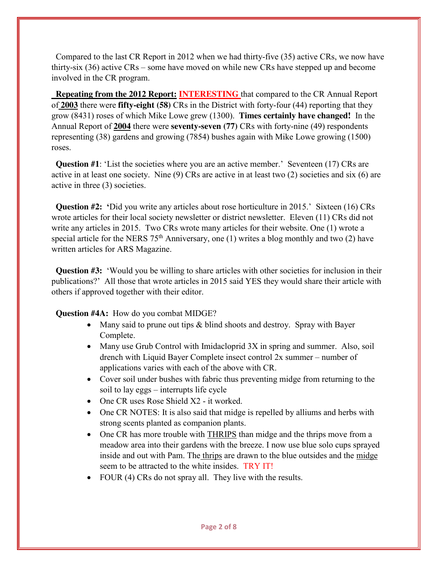Compared to the last CR Report in 2012 when we had thirty-five (35) active CRs, we now have thirty-six (36) active CRs – some have moved on while new CRs have stepped up and become involved in the CR program.

 **Repeating from the 2012 Report: INTERESTING** that compared to the CR Annual Report of **2003** there were **fifty-eight (58)** CRs in the District with forty-four (44) reporting that they grow (8431) roses of which Mike Lowe grew (1300). **Times certainly have changed!** In the Annual Report of **2004** there were **seventy-seven (77)** CRs with forty-nine (49) respondents representing (38) gardens and growing (7854) bushes again with Mike Lowe growing (1500) roses.

**Question #1**: 'List the societies where you are an active member.' Seventeen (17) CRs are active in at least one society. Nine (9) CRs are active in at least two (2) societies and six (6) are active in three (3) societies.

**Question #2:** 'Did you write any articles about rose horticulture in 2015.' Sixteen (16) CRs wrote articles for their local society newsletter or district newsletter. Eleven (11) CRs did not write any articles in 2015. Two CRs wrote many articles for their website. One (1) wrote a special article for the NERS  $75<sup>th</sup>$  Anniversary, one (1) writes a blog monthly and two (2) have written articles for ARS Magazine.

**Question #3:** 'Would you be willing to share articles with other societies for inclusion in their publications?' All those that wrote articles in 2015 said YES they would share their article with others if approved together with their editor.

**Question #4A:** How do you combat MIDGE?

- Many said to prune out tips  $&$  blind shoots and destroy. Spray with Bayer Complete.
- Many use Grub Control with Imidacloprid  $3X$  in spring and summer. Also, soil drench with Liquid Bayer Complete insect control 2x summer – number of applications varies with each of the above with CR.
- Cover soil under bushes with fabric thus preventing midge from returning to the soil to lay eggs – interrupts life cycle
- $\bullet$  One CR uses Rose Shield X2 it worked.
- One CR NOTES: It is also said that midge is repelled by alliums and herbs with strong scents planted as companion plants.
- One CR has more trouble with THRIPS than midge and the thrips move from a meadow area into their gardens with the breeze. I now use blue solo cups sprayed inside and out with Pam. The thrips are drawn to the blue outsides and the midge seem to be attracted to the white insides. TRY IT!
- FOUR (4) CRs do not spray all. They live with the results.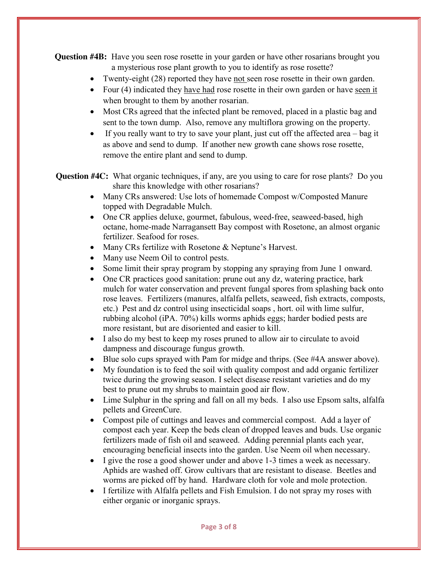**Question #4B:** Have you seen rose rosette in your garden or have other rosarians brought you a mysterious rose plant growth to you to identify as rose rosette?

- Twenty-eight  $(28)$  reported they have not seen rose rosette in their own garden.
- Four (4) indicated they have had rose rosette in their own garden or have seen it when brought to them by another rosarian.
- Most CRs agreed that the infected plant be removed, placed in a plastic bag and sent to the town dump. Also, remove any multiflora growing on the property.
- $\bullet$  If you really want to try to save your plant, just cut off the affected area bag it as above and send to dump. If another new growth cane shows rose rosette, remove the entire plant and send to dump.

 **Question #4C:** What organic techniques, if any, are you using to care for rose plants? Do you share this knowledge with other rosarians?

- Many CRs answered: Use lots of homemade Compost w/Composted Manure topped with Degradable Mulch.
- One CR applies deluxe, gourmet, fabulous, weed-free, seaweed-based, high octane, home-made Narragansett Bay compost with Rosetone, an almost organic fertilizer. Seafood for roses.
- Many CRs fertilize with Rosetone  $&$  Neptune's Harvest.
- Many use Neem Oil to control pests.
- Some limit their spray program by stopping any spraying from June 1 onward.
- One CR practices good sanitation: prune out any dz, watering practice, bark mulch for water conservation and prevent fungal spores from splashing back onto rose leaves. Fertilizers (manures, alfalfa pellets, seaweed, fish extracts, composts, etc.) Pest and dz control using insecticidal soaps , hort. oil with lime sulfur, rubbing alcohol (iPA. 70%) kills worms aphids eggs; harder bodied pests are more resistant, but are disoriented and easier to kill.
- I also do my best to keep my roses pruned to allow air to circulate to avoid dampness and discourage fungus growth.
- $\bullet$  Blue solo cups sprayed with Pam for midge and thrips. (See #4A answer above).
- My foundation is to feed the soil with quality compost and add organic fertilizer twice during the growing season. I select disease resistant varieties and do my best to prune out my shrubs to maintain good air flow.
- Lime Sulphur in the spring and fall on all my beds. I also use Epsom salts, alfalfa pellets and GreenCure.
- Compost pile of cuttings and leaves and commercial compost. Add a layer of compost each year. Keep the beds clean of dropped leaves and buds. Use organic fertilizers made of fish oil and seaweed. Adding perennial plants each year, encouraging beneficial insects into the garden. Use Neem oil when necessary.
- I give the rose a good shower under and above 1-3 times a week as necessary. Aphids are washed off. Grow cultivars that are resistant to disease. Beetles and worms are picked off by hand. Hardware cloth for vole and mole protection.
- I fertilize with Alfalfa pellets and Fish Emulsion. I do not spray my roses with either organic or inorganic sprays.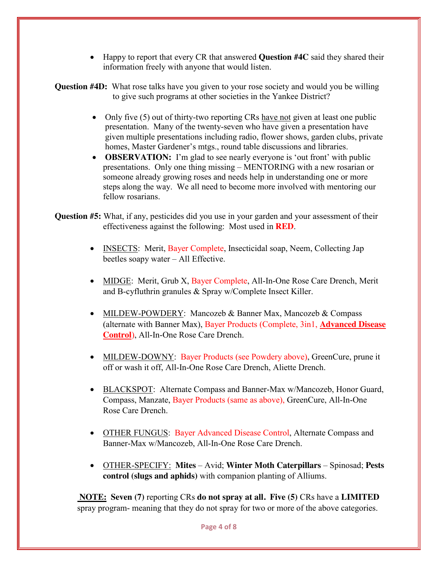• Happy to report that every CR that answered **Question #4C** said they shared their information freely with anyone that would listen.

**Question #4D:** What rose talks have you given to your rose society and would you be willing to give such programs at other societies in the Yankee District?

- Only five  $(5)$  out of thirty-two reporting CRs have not given at least one public presentation. Many of the twenty-seven who have given a presentation have given multiple presentations including radio, flower shows, garden clubs, private homes, Master Gardener's mtgs., round table discussions and libraries.
- **OBSERVATION:** I'm glad to see nearly everyone is 'out front' with public presentations. Only one thing missing – MENTORING with a new rosarian or someone already growing roses and needs help in understanding one or more steps along the way. We all need to become more involved with mentoring our fellow rosarians.
- **Question #5:** What, if any, pesticides did you use in your garden and your assessment of their effectiveness against the following: Most used in **RED**.
	- INSECTS: Merit, Bayer Complete, Insecticidal soap, Neem, Collecting Jap beetles soapy water – All Effective.
	- MIDGE: Merit, Grub X, Bayer Complete, All-In-One Rose Care Drench, Merit and B-cyfluthrin granules & Spray w/Complete Insect Killer.
	- MILDEW-POWDERY: Mancozeb & Banner Max, Mancozeb & Compass (alternate with Banner Max), Bayer Products (Complete, 3in1, **Advanced Disease Control**), All-In-One Rose Care Drench.
	- MILDEW-DOWNY: Bayer Products (see Powdery above), GreenCure, prune it off or wash it off, All-In-One Rose Care Drench, Aliette Drench.
	- BLACKSPOT: Alternate Compass and Banner-Max w/Mancozeb, Honor Guard, Compass, Manzate, Bayer Products (same as above), GreenCure, All-In-One Rose Care Drench.
	- OTHER FUNGUS: Bayer Advanced Disease Control, Alternate Compass and Banner-Max w/Mancozeb, All-In-One Rose Care Drench.
	- x OTHER-SPECIFY: **Mites** Avid; **Winter Moth Caterpillars** Spinosad; **Pests control (slugs and aphids)** with companion planting of Alliums.

**NOTE: Seven (7)** reporting CRs **do not spray at all. Five (5)** CRs have a **LIMITED**  spray program- meaning that they do not spray for two or more of the above categories.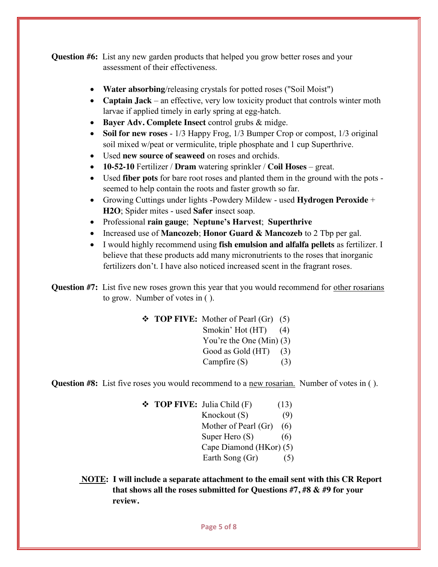**Question #6:** List any new garden products that helped you grow better roses and your assessment of their effectiveness.

- Water absorbing/releasing crystals for potted roses ("Soil Moist")
- **Captain Jack** an effective, very low toxicity product that controls winter moth larvae if applied timely in early spring at egg-hatch.
- **Bayer Adv. Complete Insect** control grubs  $\&$  midge.
- Soil for new roses 1/3 Happy Frog, 1/3 Bumper Crop or compost, 1/3 original soil mixed w/peat or vermiculite, triple phosphate and 1 cup Superthrive.
- Used **new source of seaweed** on roses and orchids.
- x **10-52-10** Fertilizer / **Dram** watering sprinkler / **Coil Hoses**  great.
- x Used **fiber pots** for bare root roses and planted them in the ground with the pots seemed to help contain the roots and faster growth so far.
- Growing Cuttings under lights -Powdery Mildew used **Hydrogen Peroxide** + **H2O**; Spider mites - used **Safer** insect soap.
- x Professional **rain gauge**; **Neptune's Harvest**; **Superthrive**
- Increased use of **Mancozeb**; **Honor Guard & Mancozeb** to 2 Tbp per gal.
- x I would highly recommend using **fish emulsion and alfalfa pellets** as fertilizer. I believe that these products add many micronutrients to the roses that inorganic fertilizers don't. I have also noticed increased scent in the fragrant roses.

**Question #7:** List five new roses grown this year that you would recommend for other rosarians to grow. Number of votes in ( ).

> **TOP FIVE:** Mother of Pearl (Gr) (5) Smokin' Hot (HT) (4) You're the One (Min) (3) Good as Gold  $(HT)$  (3) Campfire (S) (3)

**Question #8:** List five roses you would recommend to a new rosarian. Number of votes in ().

**TOP FIVE:** Julia Child (F) (13)  $Knockout(S)$  (9) Mother of Pearl (Gr) (6) Super Hero  $(S)$  (6) Cape Diamond (HKor) (5) Earth Song  $(Gr)$  (5)

 **NOTE: I will include a separate attachment to the email sent with this CR Report that shows all the roses submitted for Questions #7, #8 & #9 for your review.**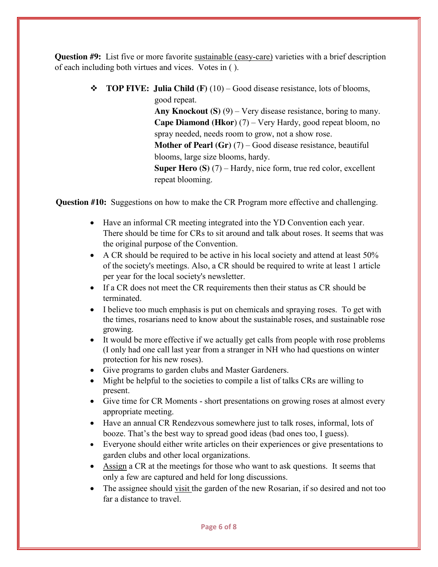**Question #9:** List five or more favorite sustainable (easy-care) varieties with a brief description of each including both virtues and vices. Votes in ( ).

> **TOP FIVE: Julia Child (F)** (10) – Good disease resistance, lots of blooms, good repeat.

> > **Any Knockout (S)** (9) – Very disease resistance, boring to many. **Cape Diamond (Hkor**) (7) – Very Hardy, good repeat bloom, no spray needed, needs room to grow, not a show rose. **Mother of Pearl (Gr)** (7) – Good disease resistance, beautiful blooms, large size blooms, hardy. **Super Hero (S)** (7) – Hardy, nice form, true red color, excellent repeat blooming.

 **Question #10:** Suggestions on how to make the CR Program more effective and challenging.

- Have an informal CR meeting integrated into the YD Convention each year. There should be time for CRs to sit around and talk about roses. It seems that was the original purpose of the Convention.
- $\bullet$  A CR should be required to be active in his local society and attend at least 50% of the society's meetings. Also, a CR should be required to write at least 1 article per year for the local society's newsletter.
- If a CR does not meet the CR requirements then their status as CR should be terminated.
- I believe too much emphasis is put on chemicals and spraying roses. To get with the times, rosarians need to know about the sustainable roses, and sustainable rose growing.
- It would be more effective if we actually get calls from people with rose problems (I only had one call last year from a stranger in NH who had questions on winter protection for his new roses).
- Give programs to garden clubs and Master Gardeners.
- Might be helpful to the societies to compile a list of talks CRs are willing to present.
- Give time for CR Moments short presentations on growing roses at almost every appropriate meeting.
- Have an annual CR Rendezvous somewhere just to talk roses, informal, lots of booze. That's the best way to spread good ideas (bad ones too, I guess).
- Everyone should either write articles on their experiences or give presentations to garden clubs and other local organizations.
- Assign a CR at the meetings for those who want to ask questions. It seems that only a few are captured and held for long discussions.
- The assignee should visit the garden of the new Rosarian, if so desired and not too far a distance to travel.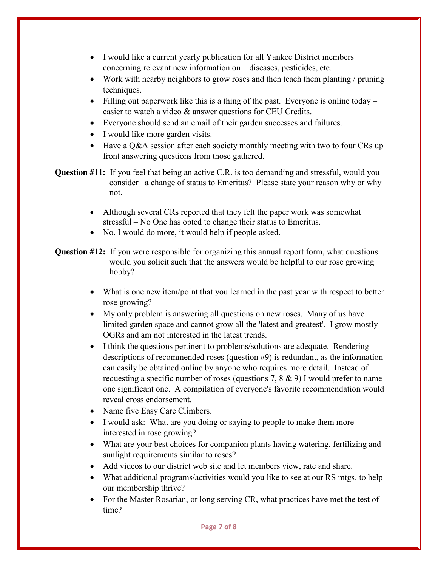- I would like a current yearly publication for all Yankee District members concerning relevant new information on – diseases, pesticides, etc.
- Work with nearby neighbors to grow roses and then teach them planting / pruning techniques.
- Filling out paperwork like this is a thing of the past. Everyone is online today easier to watch a video & answer questions for CEU Credits.
- Everyone should send an email of their garden successes and failures.
- I would like more garden visits.
- $\bullet$  Have a Q&A session after each society monthly meeting with two to four CRs up front answering questions from those gathered.

**Question #11:** If you feel that being an active C.R. is too demanding and stressful, would you consider a change of status to Emeritus? Please state your reason why or why not.

- Although several CRs reported that they felt the paper work was somewhat stressful – No One has opted to change their status to Emeritus.
- No. I would do more, it would help if people asked.

**Question #12:** If you were responsible for organizing this annual report form, what questions would you solicit such that the answers would be helpful to our rose growing hobby?

- What is one new item/point that you learned in the past year with respect to better rose growing?
- My only problem is answering all questions on new roses. Many of us have limited garden space and cannot grow all the 'latest and greatest'. I grow mostly OGRs and am not interested in the latest trends.
- I think the questions pertinent to problems/solutions are adequate. Rendering descriptions of recommended roses (question #9) is redundant, as the information can easily be obtained online by anyone who requires more detail. Instead of requesting a specific number of roses (questions 7, 8 & 9) I would prefer to name one significant one. A compilation of everyone's favorite recommendation would reveal cross endorsement.
- Name five Easy Care Climbers.
- I would ask: What are you doing or saying to people to make them more interested in rose growing?
- What are your best choices for companion plants having watering, fertilizing and sunlight requirements similar to roses?
- Add videos to our district web site and let members view, rate and share.
- What additional programs/activities would you like to see at our RS mtgs, to help our membership thrive?
- For the Master Rosarian, or long serving CR, what practices have met the test of time?